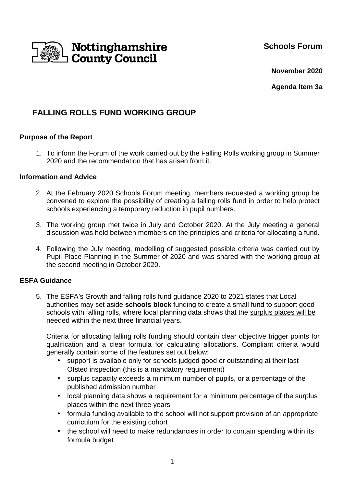**Schools Forum**



**November 2020**

**Agenda Item 3a** 

## **FALLING ROLLS FUND WORKING GROUP**

## **Purpose of the Report**

1. To inform the Forum of the work carried out by the Falling Rolls working group in Summer 2020 and the recommendation that has arisen from it.

### **Information and Advice**

- 2. At the February 2020 Schools Forum meeting, members requested a working group be convened to explore the possibility of creating a falling rolls fund in order to help protect schools experiencing a temporary reduction in pupil numbers.
- 3. The working group met twice in July and October 2020. At the July meeting a general discussion was held between members on the principles and criteria for allocating a fund.
- 4. Following the July meeting, modelling of suggested possible criteria was carried out by Pupil Place Planning in the Summer of 2020 and was shared with the working group at the second meeting in October 2020.

### **ESFA Guidance**

5. The ESFA's Growth and falling rolls fund guidance 2020 to 2021 states that Local authorities may set aside **schools block** funding to create a small fund to support good schools with falling rolls, where local planning data shows that the surplus places will be needed within the next three financial years.

Criteria for allocating falling rolls funding should contain clear objective trigger points for qualification and a clear formula for calculating allocations. Compliant criteria would generally contain some of the features set out below:

- support is available only for schools judged good or outstanding at their last Ofsted inspection (this is a mandatory requirement)
- surplus capacity exceeds a minimum number of pupils, or a percentage of the published admission number
- local planning data shows a requirement for a minimum percentage of the surplus places within the next three years
- formula funding available to the school will not support provision of an appropriate curriculum for the existing cohort
- the school will need to make redundancies in order to contain spending within its formula budget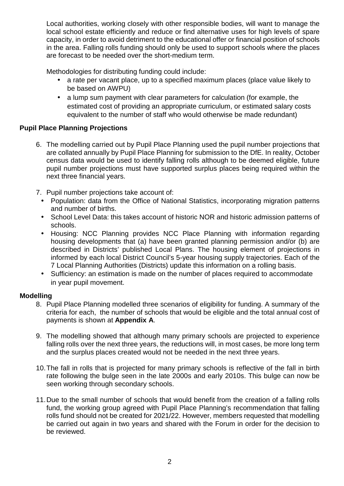Local authorities, working closely with other responsible bodies, will want to manage the local school estate efficiently and reduce or find alternative uses for high levels of spare capacity, in order to avoid detriment to the educational offer or financial position of schools in the area. Falling rolls funding should only be used to support schools where the places are forecast to be needed over the short-medium term.

Methodologies for distributing funding could include:

- a rate per vacant place, up to a specified maximum places (place value likely to be based on AWPU)
- a lump sum payment with clear parameters for calculation (for example, the estimated cost of providing an appropriate curriculum, or estimated salary costs equivalent to the number of staff who would otherwise be made redundant)

## **Pupil Place Planning Projections**

- 6. The modelling carried out by Pupil Place Planning used the pupil number projections that are collated annually by Pupil Place Planning for submission to the DfE. In reality, October census data would be used to identify falling rolls although to be deemed eligible, future pupil number projections must have supported surplus places being required within the next three financial years.
- 7. Pupil number projections take account of:
	- Population: data from the Office of National Statistics, incorporating migration patterns and number of births.
	- School Level Data: this takes account of historic NOR and historic admission patterns of schools.
	- Housing: NCC Planning provides NCC Place Planning with information regarding housing developments that (a) have been granted planning permission and/or (b) are described in Districts' published Local Plans. The housing element of projections in informed by each local District Council's 5-year housing supply trajectories. Each of the 7 Local Planning Authorities (Districts) update this information on a rolling basis.
	- Sufficiency: an estimation is made on the number of places required to accommodate in year pupil movement.

## **Modelling**

- 8. Pupil Place Planning modelled three scenarios of eligibility for funding. A summary of the criteria for each, the number of schools that would be eligible and the total annual cost of payments is shown at **Appendix A**.
- 9. The modelling showed that although many primary schools are projected to experience falling rolls over the next three years, the reductions will, in most cases, be more long term and the surplus places created would not be needed in the next three years.
- 10. The fall in rolls that is projected for many primary schools is reflective of the fall in birth rate following the bulge seen in the late 2000s and early 2010s. This bulge can now be seen working through secondary schools.
- 11. Due to the small number of schools that would benefit from the creation of a falling rolls fund, the working group agreed with Pupil Place Planning's recommendation that falling rolls fund should not be created for 2021/22. However, members requested that modelling be carried out again in two years and shared with the Forum in order for the decision to be reviewed.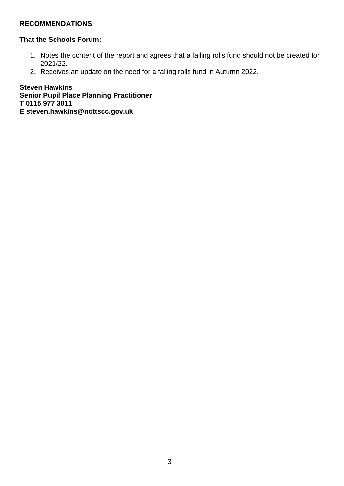## **RECOMMENDATIONS**

### **That the Schools Forum:**

- 1. Notes the content of the report and agrees that a falling rolls fund should not be created for 2021/22.
- 2. Receives an update on the need for a falling rolls fund in Autumn 2022.

**Steven Hawkins Senior Pupil Place Planning Practitioner T 0115 977 3011 E steven.hawkins@nottscc.gov.uk**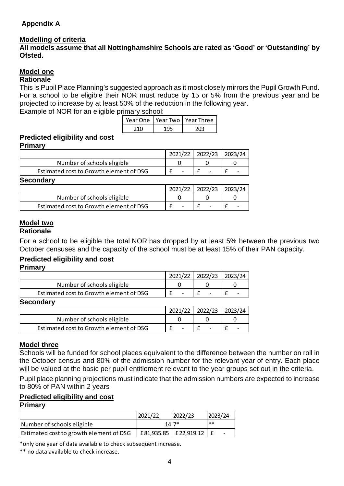## **Appendix A**

### **Modelling of criteria**

**All models assume that all Nottinghamshire Schools are rated as 'Good' or 'Outstanding' by Ofsted.** 

## **Model one**

#### **Rationale**

This is Pupil Place Planning's suggested approach as it most closely mirrors the Pupil Growth Fund. For a school to be eligible their NOR must reduce by 15 or 5% from the previous year and be projected to increase by at least 50% of the reduction in the following year.

Example of NOR for an eligible primary school:

|  | Year One   Year Two   Year Three |
|--|----------------------------------|
|  |                                  |

### **Predicted eligibility and cost**

**Primary** 

|                                         | 2021/22 | 2022/23 2023/24 |  |
|-----------------------------------------|---------|-----------------|--|
| Number of schools eligible              |         |                 |  |
| Estimated cost to Growth element of DSG |         |                 |  |
| <b>Secondary</b>                        |         |                 |  |

|                                         | 2021/22 | 2022/23 | 2023/24 |
|-----------------------------------------|---------|---------|---------|
| Number of schools eligible              |         |         |         |
| Estimated cost to Growth element of DSG |         |         |         |

#### **Model two Rationale**

For a school to be eligible the total NOR has dropped by at least 5% between the previous two October censuses and the capacity of the school must be at least 15% of their PAN capacity.

### **Predicted eligibility and cost**

**Primary** 

|                                         | 2021/22 | 2022/23 2023/24 |
|-----------------------------------------|---------|-----------------|
| Number of schools eligible              |         |                 |
| Estimated cost to Growth element of DSG |         |                 |
| Secondary                               |         |                 |

| , , , , , , , , , , , ,                 |         |         |         |
|-----------------------------------------|---------|---------|---------|
|                                         | 2021/22 | 2022/23 | 2023/24 |
| Number of schools eligible              |         |         |         |
| Estimated cost to Growth element of DSG |         |         |         |

### **Model three**

Schools will be funded for school places equivalent to the difference between the number on roll in the October census and 80% of the admission number for the relevant year of entry. Each place will be valued at the basic per pupil entitlement relevant to the year groups set out in the criteria.

Pupil place planning projections must indicate that the admission numbers are expected to increase to 80% of PAN within 2 years

# **Predicted eligibility and cost**

#### **Primary**

|                                         | 2021/22                             | 2022/23 | 2023/24 |
|-----------------------------------------|-------------------------------------|---------|---------|
| Number of schools eligible              |                                     | 1417*   | **      |
| Estimated cost to growth element of DSG | $ $ £81,935.85 $ $ £22,919.12 $ $ £ |         |         |

\*only one year of data available to check subsequent increase.

\*\* no data available to check increase.